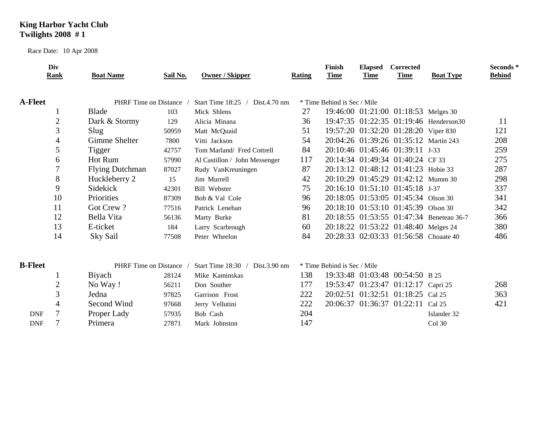## **King Harbor Yacht Club Twilights 2008 # 1**

Race Date: 10 Apr 2008

|                | Div<br>Rank    | <b>Boat Name</b>             | Sail No. | Owner / Skipper                                | Rating | <b>Finish</b><br><b>Time</b> | <b>Elapsed</b><br>Time | <b>Corrected</b><br>Time              | <b>Boat Type</b>                         | Seconds*<br><b>Behind</b> |
|----------------|----------------|------------------------------|----------|------------------------------------------------|--------|------------------------------|------------------------|---------------------------------------|------------------------------------------|---------------------------|
| <b>A-Fleet</b> |                | PHRF Time on Distance        |          | Start Time 18:25 / Dist.4.70 nm                |        | * Time Behind is Sec / Mile  |                        |                                       |                                          |                           |
|                |                | <b>Blade</b>                 | 103      | Mick Shlens                                    | 27     |                              |                        | 19:46:00 01:21:00 01:18:53 Melges 30  |                                          |                           |
|                | $\overline{2}$ | Dark & Stormy                | 129      | Alicia Minana                                  | 36     |                              |                        |                                       | 19:47:35 01:22:35 01:19:46 Henderson30   | 11                        |
|                | 3              | Slug                         | 50959    | Matt McQuaid                                   | 51     |                              |                        | 19:57:20 01:32:20 01:28:20 Viper 830  |                                          | 121                       |
|                | $\overline{4}$ | <b>Gimme Shelter</b>         | 7800     | Vitti Jackson                                  | 54     |                              |                        | 20:04:26 01:39:26 01:35:12 Martin 243 |                                          | 208                       |
|                | 5              | Tigger                       | 42757    | Tom Marland/ Fred Cottrell                     | 84     |                              |                        | 20:10:46 01:45:46 01:39:11 J-33       |                                          | 259                       |
|                | 6              | Hot Rum                      | 57990    | Al Castillon / John Messenger                  | 117    |                              |                        | 20:14:34 01:49:34 01:40:24 CF 33      |                                          | 275                       |
|                | 7              | <b>Flying Dutchman</b>       | 87027    | Rudy VanKreuningen                             | 87     |                              |                        | 20:13:12 01:48:12 01:41:23 Hobie 33   |                                          | 287                       |
|                | 8              | Huckleberry 2                | 15       | Jim Murrell                                    | 42     |                              |                        | 20:10:29 01:45:29 01:42:12 Mumm 30    |                                          | 298                       |
|                | 9              | Sidekick                     | 42301    | <b>Bill Webster</b>                            | 75     |                              |                        | 20:16:10 01:51:10 01:45:18 J-37       |                                          | 337                       |
|                | 10             | Priorities                   | 87309    | Bob & Val Cole                                 | 96     |                              |                        | 20:18:05 01:53:05 01:45:34 Olson 30   |                                          | 341                       |
|                | 11             | Got Crew?                    | 77516    | Patrick Lenehan                                | 96     |                              |                        | 20:18:10 01:53:10 01:45:39 Olson 30   |                                          | 342                       |
|                | 12             | Bella Vita                   | 56136    | Marty Burke                                    | 81     |                              |                        |                                       | 20:18:55 01:53:55 01:47:34 Beneteau 36-7 | 366                       |
|                | 13             | E-ticket                     | 184      | Larry Scarbrough                               | 60     |                              |                        | 20:18:22 01:53:22 01:48:40 Melges 24  |                                          | 380                       |
|                | 14             | Sky Sail                     | 77508    | Peter Wheelon                                  | 84     |                              |                        | 20:28:33 02:03:33 01:56:58 Choaate 40 |                                          | 486                       |
| <b>B-Fleet</b> |                | <b>PHRF</b> Time on Distance |          | Start Time $18:30$ /<br>$Dist.3.90 \text{ nm}$ |        | * Time Behind is Sec / Mile  |                        |                                       |                                          |                           |
|                |                | <b>B</b> iyach               | 28124    | Mike Kaminskas                                 | 138    |                              |                        | 19:33:48 01:03:48 00:54:50 B 25       |                                          |                           |
|                | $\overline{2}$ | No Way!                      | 56211    | Don Souther                                    | 177    |                              |                        | 19:53:47 01:23:47 01:12:17 Capri 25   |                                          | 268                       |
|                | 3              | Jedna                        | 97825    | Garrison Frost                                 | 222    |                              |                        | 20:02:51 01:32:51 01:18:25 Cal 25     |                                          | 363                       |
|                | $\overline{4}$ | Second Wind                  | 97668    | Jerry Vellutini                                | 222    | 20:06:37                     |                        | 01:36:37 01:22:11 Cal 25              |                                          | 421                       |
| <b>DNF</b>     | $\overline{7}$ | Proper Lady                  | 57935    | Bob Cash                                       | 204    |                              |                        |                                       | Islander 32                              |                           |
| <b>DNF</b>     | 7              | Primera                      | 27871    | Mark Johnston                                  | 147    |                              |                        |                                       | Col 30                                   |                           |